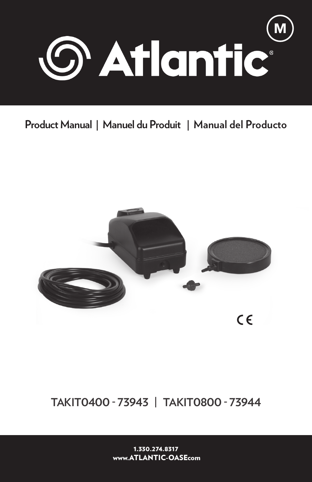

# **Product Manual | Manuel du Produit | Manual del Producto**



# **TAKIT0400 - 73943 | TAKIT0800 - 73944**

1.330.274.8317 www.ATLANTIC-OASEcom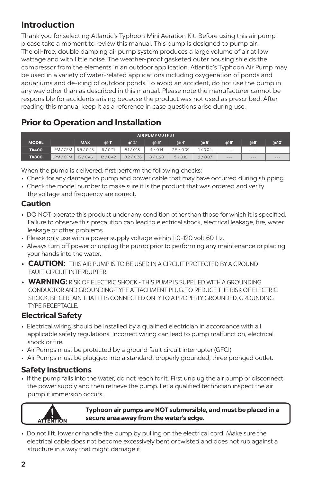# **Introduction**

Thank you for selecting Atlantic's Typhoon Mini Aeration Kit. Before using this air pump please take a moment to review this manual. This pump is designed to pump air. The oil-free, double damping air pump system produces a large volume of air at low wattage and with little noise. The weather-proof gasketed outer housing shields the compressor from the elements in an outdoor application. Atlantic's Typhoon Air Pump may be used in a variety of water-related applications including oxygenation of ponds and aquariums and de-icing of outdoor ponds. To avoid an accident, do not use the pump in any way other than as described in this manual. Please note the manufacturer cannot be responsible for accidents arising because the product was not used as prescribed. After reading this manual keep it as a reference in case questions arise during use.

# **Prior to Operation and Installation**

| <b>AIR PUMP OUTPUT</b> |           |            |           |             |        |                          |        |           |     |      |
|------------------------|-----------|------------|-----------|-------------|--------|--------------------------|--------|-----------|-----|------|
| <b>MODEL</b>           |           | <b>MAX</b> | $\odot$ T | @2'         | @3'    | @4'                      | @5     | @6'       | @8' | @10' |
| <b>TA400</b>           | LPM / CFM | 6.5 / 0.23 | 6/0.21    | 5.1 / 0.18  | 4/0.14 | 2.5 <sub>1</sub><br>0.09 | /0.04  | $- - - -$ | --- | ---  |
| <b>TA800</b>           | LPM / CFM | 13/0.46    | 12/0.42   | 10.2 / 0.36 | 8/0.28 | 5/0.18                   | 2/0.07 | ---       | --- | ---  |

When the pump is delivered, first perform the following checks:

- Check for any damage to pump and power cable that may have occurred during shipping.
- Check the model number to make sure it is the product that was ordered and verify the voltage and frequency are correct.

### **Caution**

- DO NOT operate this product under any condition other than those for which it is specified. Failure to observe this precaution can lead to electrical shock, electrical leakage, fire, water leakage or other problems.
- Please only use with a power supply voltage within 110-120 volt 60 Hz.
- Always turn off power or unplug the pump prior to performing any maintenance or placing your hands into the water.
- **CAUTION:** THIS AIR PUMP IS TO BE USED IN A CIRCUIT PROTECTED BY A GROUND FAULT CIRCUIT INTERRUPTER
- **WARNING:** RISK OF ELECTRIC SHOCK THIS PUMP IS SUPPLIED WITH A GROUNDING CONDUCTOR AND GROUNDING-TYPE ATTACHMENT PLUG. TO REDUCE THE RISK OF ELECTRIC SHOCK, BE CERTAIN THAT IT IS CONNECTED ONLY TO A PROPERLY GROUNDED, GROUNDING TYPE RECEPTACLE.

### **Electrical Safety**

- Electrical wiring should be installed by a qualified electrician in accordance with all applicable safety regulations. Incorrect wiring can lead to pump malfunction, electrical shock or fire.
- Air Pumps must be protected by a ground fault circuit interrupter (GFCI).
- Air Pumps must be plugged into a standard, properly grounded, three pronged outlet.

#### **Safety Instructions**

• If the pump falls into the water, do not reach for it. First unplug the air pump or disconnect the power supply and then retrieve the pump. Let a qualified technician inspect the air pump if immersion occurs.



#### **Typhoon air pumps are NOT submersible, and must be placed in a secure area away from the water's edge.**

• Do not lift, lower or handle the pump by pulling on the electrical cord. Make sure the electrical cable does not become excessively bent or twisted and does not rub against a structure in a way that might damage it.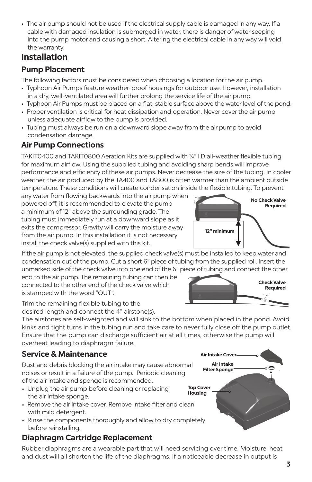• The air pump should not be used if the electrical supply cable is damaged in any way. If a cable with damaged insulation is submerged in water, there is danger of water seeping into the pump motor and causing a short. Altering the electrical cable in any way will void the warranty.

# **Installation**

## **Pump Placement**

The following factors must be considered when choosing a location for the air pump.

- Typhoon Air Pumps feature weather-proof housings for outdoor use. However, installation in a dry, well-ventilated area will further prolong the service life of the air pump.
- Typhoon Air Pumps must be placed on a flat, stable surface above the water level of the pond.
- Proper ventilation is critical for heat dissipation and operation. Never cover the air pump unless adequate airflow to the pump is provided.
- Tubing must always be run on a downward slope away from the air pump to avoid condensation damage.

## **Air Pump Connections**

TAKIT0400 and TAKIT0800 Aeration Kits are supplied with ¼" I.D all-weather flexible tubing for maximum airflow. Using the supplied tubing and avoiding sharp bends will improve performance and efficiency of these air pumps. Never decrease the size of the tubing. In cooler weather, the air produced by the TA400 and TA800 is often warmer than the ambient outside temperature. These conditions will create condensation inside the flexible tubing. To prevent

any water from flowing backwards into the air pump when powered off, it is recommended to elevate the pump a minimum of 12" above the surrounding grade. The tubing must immediately run at a downward slope as it exits the compressor. Gravity will carry the moisture away from the air pump. In this installation it is not necessary install the check valve(s) supplied with this kit.

If the air pump is not elevated, the supplied check valve(s) must be installed to keep water and condensation out of the pump. Cut a short 6" piece of tubing from the supplied roll. Insert the unmarked side of the check valve into one end of the 6" piece of tubing and connect the other

end to the air pump. The remaining tubing can then be connected to the other end of the check valve which is stamped with the word "OUT".

Trim the remaining flexible tubing to the desired length and connect the 4" airstone(s).

The airstones are self-weighted and will sink to the bottom when placed in the pond. Avoid kinks and tight turns in the tubing run and take care to never fully close off the pump outlet. Ensure that the pump can discharge sufficient air at all times, otherwise the pump will overheat leading to diaphragm failure.

### **Service & Maintenance**

Dust and debris blocking the air intake may cause abnormal noises or result in a failure of the pump. Periodic cleaning of the air intake and sponge is recommended.

- Unplug the air pump before cleaning or replacing the air intake sponge.
- Remove the air intake cover. Remove intake filter and clean with mild detergent.
- Rinse the components thoroughly and allow to dry completely before reinstalling.

# **Diaphragm Cartridge Replacement**

Rubber diaphragms are a wearable part that will need servicing over time. Moisture, heat and dust will all shorten the life of the diaphragms. If a noticeable decrease in output is





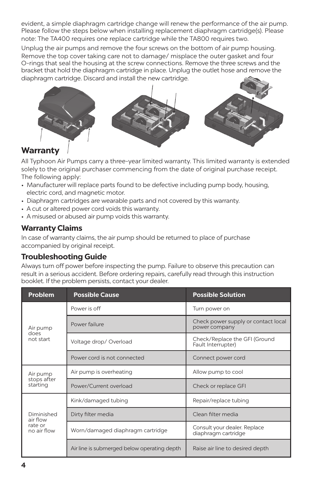evident, a simple diaphragm cartridge change will renew the performance of the air pump. Please follow the steps below when installing replacement diaphragm cartridge(s). Please note: The TA400 requires one replace cartridge while the TA800 requires two.

Unplug the air pumps and remove the four screws on the bottom of air pump housing. Remove the top cover taking care not to damage/ misplace the outer gasket and four O-rings that seal the housing at the screw connections. Remove the three screws and the bracket that hold the diaphragm cartridge in place. Unplug the outlet hose and remove the diaphragm cartridge. Discard and install the new cartridge.



# **Warranty**

All Typhoon Air Pumps carry a three-year limited warranty. This limited warranty is extended solely to the original purchaser commencing from the date of original purchase receipt. The following apply:

- Manufacturer will replace parts found to be defective including pump body, housing, electric cord, and magnetic motor.
- Diaphragm cartridges are wearable parts and not covered by this warranty.
- A cut or altered power cord voids this warranty.
- A misused or abused air pump voids this warranty.

#### **Warranty Claims**

In case of warranty claims, the air pump should be returned to place of purchase accompanied by original receipt.

#### **Troubleshooting Guide**

Always turn off power before inspecting the pump. Failure to observe this precaution can result in a serious accident. Before ordering repairs, carefully read through this instruction booklet. If the problem persists, contact your dealer.

| <b>Problem</b>          | <b>Possible Cause</b>                       | <b>Possible Solution</b>                             |  |  |  |
|-------------------------|---------------------------------------------|------------------------------------------------------|--|--|--|
|                         | Power is off                                | Turn power on                                        |  |  |  |
| Air pump                | Power failure                               | Check power supply or contact local<br>power company |  |  |  |
| does<br>not start       | Voltage drop/Overload                       | Check/Replace the GFI (Ground<br>Fault Interrupter)  |  |  |  |
|                         | Power cord is not connected                 | Connect power cord                                   |  |  |  |
| Air pump                | Air pump is overheating                     | Allow pump to cool                                   |  |  |  |
| stops after<br>starting | Power/Current overload                      | Check or replace GFI                                 |  |  |  |
|                         | Kink/damaged tubing                         | Repair/replace tubing                                |  |  |  |
| Diminished<br>air flow  | Dirty filter media                          | Clean filter media                                   |  |  |  |
| rate or<br>no air flow  | Worn/damaged diaphragm cartridge            | Consult your dealer. Replace<br>diaphragm cartridge  |  |  |  |
|                         | Air line is submerged below operating depth | Raise air line to desired depth                      |  |  |  |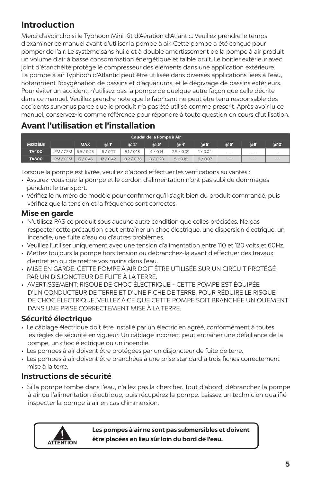# **Introduction**

Merci d'avoir choisi le Typhoon Mini Kit d'Aération d'Atlantic. Veuillez prendre le temps d'examiner ce manuel avant d'utiliser la pompe à air. Cette pompe a été conçue pour pomper de l'air. Le système sans huile et à double amortissement de la pompe à air produit un volume d'air à basse consommation énergétique et faible bruit. Le boîtier extérieur avec joint d'étanchéité protège le compresseur des éléments dans une application extérieure. La pompe à air Typhoon d'Atlantic peut être utilisée dans diverses applications liées à l'eau, notamment l'oxygénation de bassins et d'aquariums, et le dégivrage de bassins extérieurs. Pour éviter un accident, n'utilisez pas la pompe de quelque autre façon que celle décrite dans ce manuel. Veuillez prendre note que le fabricant ne peut être tenu responsable des accidents survenus parce que le produit n'a pas été utilisé comme prescrit. Après avoir lu ce manuel, conservez-le comme référence pour répondre à toute question en cours d'utilisation.

# **Avant l'utilisation et l'installation**

| Caudal de la Pompe à Air |                        |            |           |             |             |              |             |                      |         |      |
|--------------------------|------------------------|------------|-----------|-------------|-------------|--------------|-------------|----------------------|---------|------|
| <b>MODÉLE</b>            |                        | <b>MAX</b> | $\odot$ T | @2'         | $\omega$ 3' | $\omega$ 4'  | $\omega$ 5' | @6'                  | @8'     | @10' |
| <b>TA400</b>             | LPM / CFM   6.5 / 0.23 |            | 6/0.21    | 5.1 / 0.18  | 4/0.14      | 2.5/<br>0.09 | /0.04       | $\sim$ $\sim$ $\sim$ | $- - -$ | ---  |
| <b>TA800</b>             | LPM / CFM              | 13/0.46    | 12/0.42   | 10.2 / 0.36 | 8/0.28      | 5/0.18       | 2/0.07      | $ -$                 | $- - -$ | ---  |

Lorsque la pompe est livrée, veuillez d'abord effectuer les vérifications suivantes :

- Assurez-vous que la pompe et le cordon d'alimentation n'ont pas subi de dommages pendant le transport.
- Vérifiez le numéro de modèle pour confirmer qu'il s'agit bien du produit commandé, puis vérifiez que la tension et la fréquence sont correctes.

### **Mise en garde**

- N'utilisez PAS ce produit sous aucune autre condition que celles précisées. Ne pas respecter cette précaution peut entraîner un choc électrique, une dispersion électrique, un incendie, une fuite d'eau ou d'autres problèmes.
- Veuillez l'utiliser uniquement avec une tension d'alimentation entre 110 et 120 volts et 60Hz.
- Mettez toujours la pompe hors tension ou débranchez-la avant d'effectuer des travaux d'entretien ou de mettre vos mains dans l'eau.
- MISE EN GARDE: CETTE POMPE À AIR DOIT ÊTRE UTILISÉE SUR UN CIRCUIT PROTÉGÉ PAR UN DISJONCTEUR DE FUITE À LA TERRE.
- AVERTISSEMENT: RISQUE DE CHOC ÉLECTRIQUE CETTE POMPE EST ÉQUIPÉE D'UN CONDUCTEUR DE TERRE ET D'UNE FICHE DE TERRE. POUR RÉDUIRE LE RISQUE DE CHOC ÉLECTRIQUE, VEILLEZ À CE QUE CETTE POMPE SOIT BRANCHÉE UNIQUEMENT DANS UNE PRISE CORRECTEMENT MISE À LA TERRE.

### **Sécurité électrique**

- Le câblage électrique doit être installé par un électricien agréé, conformément à toutes les règles de sécurité en vigueur. Un câblage incorrect peut entraîner une défaillance de la pompe, un choc électrique ou un incendie.
- Les pompes à air doivent être protégées par un disjoncteur de fuite de terre.
- Les pompes à air doivent être branchées à une prise standard à trois fiches correctement mise à la terre.

### **Instructions de sécurité**

• Si la pompe tombe dans l'eau, n'allez pas la chercher. Tout d'abord, débranchez la pompe à air ou l'alimentation électrique, puis récupérez la pompe. Laissez un technicien qualifié inspecter la pompe à air en cas d'immersion.



**Les pompes à air ne sont pas submersibles et doivent être placées en lieu sûr loin du bord de l'eau.**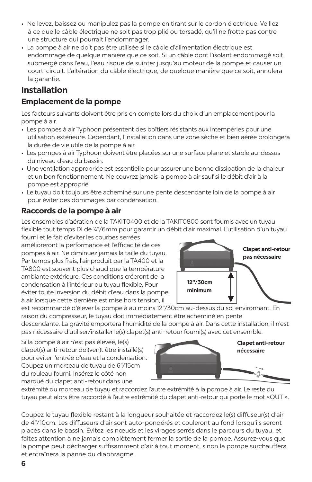- Ne levez, baissez ou manipulez pas la pompe en tirant sur le cordon électrique. Veillez à ce que le câble électrique ne soit pas trop plié ou torsadé, qu'il ne frotte pas contre une structure qui pourrait l'endommager.
- La pompe à air ne doit pas être utilisée si le câble d'alimentation électrique est endommagé de quelque manière que ce soit. Si un câble dont l'isolant endommagé soit submergé dans l'eau, l'eau risque de suinter jusqu'au moteur de la pompe et causer un court-circuit. L'altération du câble électrique, de quelque manière que ce soit, annulera la garantie.

# **Installation**

## **Emplacement de la pompe**

Les facteurs suivants doivent être pris en compte lors du choix d'un emplacement pour la pompe à air.

- Les pompes à air Typhoon présentent des boîtiers résistants aux intempéries pour une utilisation extérieure. Cependant, l'installation dans une zone sèche et bien aérée prolongera la durée de vie utile de la pompe à air.
- Les pompes à air Typhoon doivent être placées sur une surface plane et stable au-dessus du niveau d'eau du bassin.
- Une ventilation appropriée est essentielle pour assurer une bonne dissipation de la chaleur et un bon fonctionnement. Ne couvrez jamais la pompe à air sauf si le débit d'air à la pompe est approprié.
- Le tuyau doit toujours être acheminé sur une pente descendante loin de la pompe à air pour éviter des dommages par condensation.

#### **Raccords de la pompe à air**

Les ensembles d'aération de la TAKIT0400 et de la TAKIT0800 sont fournis avec un tuyau flexible tout temps DI de 1/4"/6mm pour garantir un débit d'air maximal. L'utilisation d'un tuyau fourni et le fait d'éviter les courbes serrées

amélioreront la performance et l'efficacité de ces pompes à air. Ne diminuez jamais la taille du tuyau. Par temps plus frais, l'air produit par la TA400 et la TA800 est souvent plus chaud que la température ambiante extérieure. Ces conditions créeront de la condensation à l'intérieur du tuyau flexible. Pour éviter toute inversion du débit d'eau dans la pompe à air lorsque cette dernière est mise hors tension, il



est recommandé d'élever la pompe à au moins 12"/30cm au-dessus du sol environnant. En raison du compresseur, le tuyau doit immédiatement être acheminé en pente descendante. La gravité emportera l'humidité de la pompe à air. Dans cette installation, il n'est pas nécessaire d'utiliser/installer le(s) clapet(s) anti-retour fourni(s) avec cet ensemble.

Si la pompe à air n'est pas élevée, le(s) clapet(s) anti-retour doi(ven)t être installé(s) pour eviter l'entrée d'eau et la condensation. Coupez un morceau de tuyau de 6"/15cm du rouleau fourni. Insérez le côté non marqué du clapet anti-retour dans une



extrémité du morceau de tuyau et raccordez l'autre extrémité à la pompe à air. Le reste du tuyau peut alors être raccordé à l'autre extrémité du clapet anti-retour qui porte le mot «OUT ».

Coupez le tuyau flexible restant à la longueur souhaitée et raccordez le(s) diffuseur(s) d'air de 4"/10cm. Les diffuseurs d'air sont auto-pondérés et couleront au fond lorsqu'ils seront placés dans le bassin. Évitez les nœuds et les virages serrés dans le parcours du tuyau, et faites attention à ne jamais complètement fermer la sortie de la pompe. Assurez-vous que la pompe peut décharger suffisamment d'air à tout moment, sinon la pompe surchauffera et entraînera la panne du diaphragme.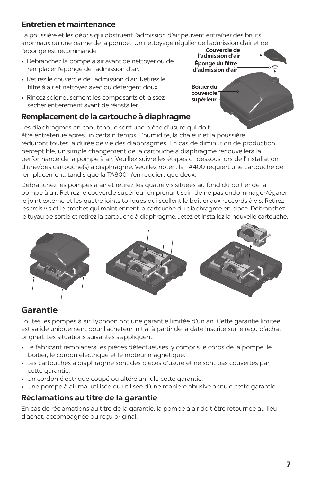### **Entretien et maintenance**

**Couvercle de l'admission d'air** La poussière et les débris qui obstruent l'admission d'air peuvent entraîner des bruits anormaux ou une panne de la pompe. Un nettoyage régulier de l'admission d'air et de l'éponge est recommandé.

- Débranchez la pompe à air avant de nettoyer ou de remplacer l'éponge de l'admission d'air.
- Retirez le couvercle de l'admission d'air. Retirez le filtre à air et nettoyez avec du détergent doux.
- Rincez soigneusement les composants et laissez sécher entièrement avant de réinstaller.

#### **Remplacement de la cartouche à diaphragme**

Les diaphragmes en caoutchouc sont une pièce d'usure qui doit être entretenue après un certain temps. L'humidité, la chaleur et la poussière réduiront toutes la durée de vie des diaphragmes. En cas de diminution de production perceptible, un simple changement de la cartouche à diaphragme renouvellera la performance de la pompe à air. Veuillez suivre les étapes ci-dessous lors de l'installation d'une/des cartouche(s) à diaphragme. Veuillez noter : la TA400 requiert une cartouche de remplacement, tandis que la TA800 n'en requiert que deux.

Débranchez les pompes à air et retirez les quatre vis situées au fond du boîtier de la pompe à air. Retirez le couvercle supérieur en prenant soin de ne pas endommager/égarer le joint externe et les quatre joints toriques qui scellent le boîtier aux raccords à vis. Retirez les trois vis et le crochet qui maintiennent la cartouche du diaphragme en place. Débranchez le tuyau de sortie et retirez la cartouche à diaphragme. Jetez et installez la nouvelle cartouche.



# **Garantie**

Toutes les pompes à air Typhoon ont une garantie limitée d'un an. Cette garantie limitée est valide uniquement pour l'acheteur initial à partir de la date inscrite sur le reçu d'achat original. Les situations suivantes s'appliquent :

- Le fabricant remplacera les pièces défectueuses, y compris le corps de la pompe, le boîtier, le cordon électrique et le moteur magnétique.
- Les cartouches à diaphragme sont des pièces d'usure et ne sont pas couvertes par cette garantie.
- Un cordon électrique coupé ou altéré annule cette garantie.
- Une pompe à air mal utilisée ou utilisée d'une manière abusive annule cette garantie.

### **Réclamations au titre de la garantie**

En cas de réclamations au titre de la garantie, la pompe à air doit être retournée au lieu d'achat, accompagnée du reçu original.

**Boîtier du couvercle supérieur**

**Éponge du filtre d'admission d'air**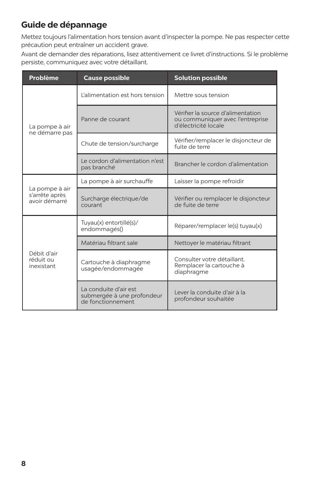# **Guide de dépannage**

Mettez toujours l'alimentation hors tension avant d'inspecter la pompe. Ne pas respecter cette précaution peut entraîner un accident grave.

Avant de demander des réparations, lisez attentivement ce livret d'instructions. Si le problème persiste, communiquez avec votre détaillant.

| Problème                                          | <b>Cause possible</b>                                                    | <b>Solution possible</b>                                                                      |  |  |  |  |
|---------------------------------------------------|--------------------------------------------------------------------------|-----------------------------------------------------------------------------------------------|--|--|--|--|
|                                                   | L'alimentation est hors tension                                          | Mettre sous tension                                                                           |  |  |  |  |
| La pompe à air<br>ne démarre pas                  | Panne de courant                                                         | Vérifier la source d'alimentation<br>ou communiquer avec l'entreprise<br>d'électricité locale |  |  |  |  |
|                                                   | Chute de tension/surcharge                                               | Vérifier/remplacer le disjoncteur de<br>fuite de terre                                        |  |  |  |  |
|                                                   | Le cordon d'alimentation n'est<br>pas branché                            | Brancher le cordon d'alimentation                                                             |  |  |  |  |
|                                                   | La pompe à air surchauffe                                                | Laisser la pompe refroidir                                                                    |  |  |  |  |
| La pompe à air<br>s'arrête après<br>avoir démarré | Surcharge électrique/de<br>courant                                       | Vérifier ou remplacer le disjoncteur<br>de fuite de terre                                     |  |  |  |  |
|                                                   | Tuyau(x) entortillé(s)/<br>endommagés()                                  | Réparer/remplacer le(s) tuyau(x)                                                              |  |  |  |  |
|                                                   | Matériau filtrant sale                                                   | Nettoyer le matériau filtrant                                                                 |  |  |  |  |
| Débit d'air<br>réduit ou<br>inexistant            | Cartouche à diaphragme<br>usagée/endommagée                              | Consulter votre détaillant.<br>Remplacer la cartouche à<br>diaphragme                         |  |  |  |  |
|                                                   | La conduite d'air est<br>submergée à une profondeur<br>de fonctionnement | Lever la conduite d'air à la<br>profondeur souhaitée                                          |  |  |  |  |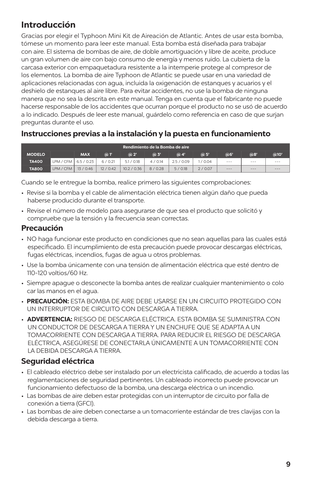# **Introducción**

Gracias por elegir el Typhoon Mini Kit de Aireación de Atlantic. Antes de usar esta bomba, tómese un momento para leer este manual. Esta bomba está diseñada para trabajar con aire. El sistema de bombas de aire, de doble amortiguación y libre de aceite, produce un gran volumen de aire con bajo consumo de energía y menos ruido. La cubierta de la carcasa exterior con empaquetadura resistente a la intemperie protege al compresor de los elementos. La bomba de aire Typhoon de Atlantic se puede usar en una variedad de aplicaciones relacionadas con agua, incluida la oxigenación de estanques y acuarios y el deshielo de estanques al aire libre. Para evitar accidentes, no use la bomba de ninguna manera que no sea la descrita en este manual. Tenga en cuenta que el fabricante no puede hacerse responsable de los accidentes que ocurran porque el producto no se usó de acuerdo a lo indicado. Después de leer este manual, guárdelo como referencia en caso de que surjan preguntas durante el uso.

### **Instrucciones previas a la instalación y la puesta en funcionamiento**

| Rendimiento de la Bomba de aire |                        |            |         |             |             |            |        |           |          |      |
|---------------------------------|------------------------|------------|---------|-------------|-------------|------------|--------|-----------|----------|------|
| <b>MODELO</b>                   |                        | <b>MAX</b> | @1      | @2'         | $\omega$ 3' | @4'        | @5'    | @6'       | ക്ക      | @10' |
| <b>TA400</b>                    | LPM / CFM   6.5 / 0.23 |            | 6/0.21  | 5.1 / 0.18  | 4/0.14      | 2.5 / 0.09 | /0.04  | $\cdots$  | $\cdots$ | ---  |
| <b>TA800</b>                    | LPM / CFM   13 / 0.46  |            | 12/0.42 | 10.2 / 0.36 | 8/0.28      | 5/0.18     | 2/0.07 | $- - - -$ | $- - -$  | ---  |

Cuando se le entregue la bomba, realice primero las siguientes comprobaciones:

- Revise si la bomba y el cable de alimentación eléctrica tienen algún daño que pueda haberse producido durante el transporte.
- Revise el número de modelo para asegurarse de que sea el producto que solicitó y compruebe que la tensión y la frecuencia sean correctas.

#### **Precaución**

- NO haga funcionar este producto en condiciones que no sean aquellas para las cuales está especificado. El incumplimiento de esta precaución puede provocar descargas eléctricas, fugas eléctricas, incendios, fugas de agua u otros problemas.
- Use la bomba únicamente con una tensión de alimentación eléctrica que esté dentro de 110-120 voltios/60 Hz.
- Siempre apague o desconecte la bomba antes de realizar cualquier mantenimiento o colo car las manos en el agua.
- **PRECAUCIÓN:** ESTA BOMBA DE AIRE DEBE USARSE EN UN CIRCUITO PROTEGIDO CON UN INTERRUPTOR DE CIRCUITO CON DESCARGA A TIERRA.
- **ADVERTENCIA:** RIESGO DE DESCARGA ELÉCTRICA. ESTA BOMBA SE SUMINISTRA CON UN CONDUCTOR DE DESCARGA A TIERRA Y UN ENCHUFE QUE SE ADAPTA A UN TOMACORRIENTE CON DESCARGA A TIERRA. PARA REDUCIR EL RIESGO DE DESCARGA ELÉCTRICA, ASEGÚRESE DE CONECTARLA ÚNICAMENTE A UN TOMACORRIENTE CON LA DEBIDA DESCARGA A TIERRA.

# **Seguridad eléctrica**

- El cableado eléctrico debe ser instalado por un electricista calificado, de acuerdo a todas las reglamentaciones de seguridad pertinentes. Un cableado incorrecto puede provocar un funcionamiento defectuoso de la bomba, una descarga eléctrica o un incendio.
- Las bombas de aire deben estar protegidas con un interruptor de circuito por falla de conexión a tierra (GFCI).
- Las bombas de aire deben conectarse a un tomacorriente estándar de tres clavijas con la debida descarga a tierra.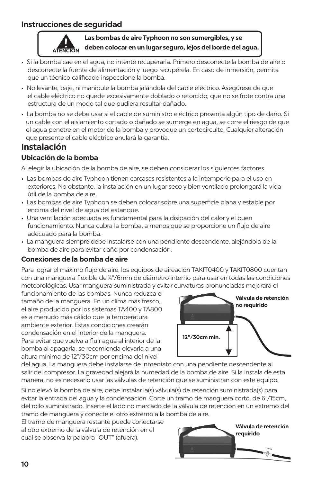### **Instrucciones de seguridad**



#### **Las bombas de aire Typhoon no son sumergibles, y se deben colocar en un lugar seguro, lejos del borde del agua.**

- Si la bomba cae en el agua, no intente recuperarla. Primero desconecte la bomba de aire o desconecte la fuente de alimentación y luego recupérela. En caso de inmersión, permita que un técnico calificado inspeccione la bomba.
- No levante, baje, ni manipule la bomba jalándola del cable eléctrico. Asegúrese de que el cable eléctrico no quede excesivamente doblado o retorcido, que no se frote contra una estructura de un modo tal que pudiera resultar dañado.
- La bomba no se debe usar si el cable de suministro eléctrico presenta algún tipo de daño. Si un cable con el aislamiento cortado o dañado se sumerge en agua, se corre el riesgo de que el agua penetre en el motor de la bomba y provoque un cortocircuito. Cualquier alteración que presente el cable eléctrico anulará la garantía.

# **Instalación**

#### **Ubicación de la bomba**

Al elegir la ubicación de la bomba de aire, se deben considerar los siguientes factores.

- Las bombas de aire Typhoon tienen carcasas resistentes a la intemperie para el uso en exteriores. No obstante, la instalación en un lugar seco y bien ventilado prolongará la vida útil de la bomba de aire.
- Las bombas de aire Typhoon se deben colocar sobre una superficie plana y estable por encima del nivel de agua del estanque.
- Una ventilación adecuada es fundamental para la disipación del calor y el buen funcionamiento. Nunca cubra la bomba, a menos que se proporcione un flujo de aire adecuado para la bomba.
- La manguera siempre debe instalarse con una pendiente descendente, alejándola de la bomba de aire para evitar daño por condensación.

#### **Conexiones de la bomba de aire**

Para lograr el máximo flujo de aire, los equipos de aireación TAKIT0400 y TAKIT0800 cuentan con una manguera flexible de ¼"/6mm de diámetro interno para usar en todas las condiciones meteorológicas. Usar manguera suministrada y evitar curvaturas pronunciadas mejorará el

funcionamiento de las bombas. Nunca reduzca el tamaño de la manguera. En un clima más fresco, el aire producido por los sistemas TA400 y TA800 es a menudo más cálido que la temperatura ambiente exterior. Estas condiciones crearán condensación en el interior de la manguera. Para evitar que vuelva a fluir agua al interior de la bomba al apagarla, se recomienda elevarla a una altura mínima de 12"/30cm por encima del nivel



del agua. La manguera debe instalarse de inmediato con una pendiente descendente al salir del compresor. La gravedad alejará la humedad de la bomba de aire. Si la instala de esta manera, no es necesario usar las válvulas de retención que se suministran con este equipo.

Si no elevó la bomba de aire, debe instalar la(s) válvula(s) de retención suministrada(s) para evitar la entrada del agua y la condensación. Corte un tramo de manguera corto, de 6"/15cm, del rollo suministrado. Inserte el lado no marcado de la válvula de retención en un extremo del tramo de manguera y conecte el otro extremo a la bomba de aire.

El tramo de manguera restante puede conectarse al otro extremo de la válvula de retención en el cual se observa la palabra "OUT" (afuera).

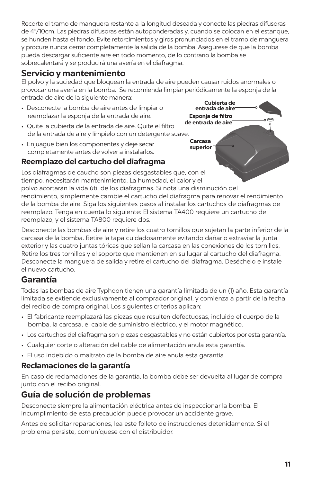Recorte el tramo de manguera restante a la longitud deseada y conecte las piedras difusoras de 4"/10cm. Las piedras difusoras están autoponderadas y, cuando se colocan en el estanque, se hunden hasta el fondo. Evite retorcimientos y giros pronunciados en el tramo de manguera y procure nunca cerrar completamente la salida de la bomba. Asegúrese de que la bomba pueda descargar suficiente aire en todo momento, de lo contrario la bomba se sobrecalentará y se producirá una avería en el diafragma.

# **Servicio y mantenimiento**

**Cubierta de**  El polvo y la suciedad que bloquean la entrada de aire pueden causar ruidos anormales o provocar una avería en la bomba. Se recomienda limpiar periódicamente la esponja de la entrada de aire de la siguiente manera:

**entrada de aire**

**Esponja de filtro** 

**Carcasa superior**

- Desconecte la bomba de aire antes de limpiar o reemplazar la esponja de la entrada de aire.
- **de entrada de aire** • Quite la cubierta de la entrada de aire. Quite el filtro de la entrada de aire y límpielo con un detergente suave.
- Enjuague bien los componentes y deje secar completamente antes de volver a instalarlos.



Los diafragmas de caucho son piezas desgastables que, con el tiempo, necesitarán mantenimiento. La humedad, el calor y el polvo acortarán la vida útil de los diafragmas. Si nota una disminución del rendimiento, simplemente cambie el cartucho del diafragma para renovar el rendimiento de la bomba de aire. Siga los siguientes pasos al instalar los cartuchos de diafragmas de reemplazo. Tenga en cuenta lo siguiente: El sistema TA400 requiere un cartucho de reemplazo, y el sistema TA800 requiere dos.

Desconecte las bombas de aire y retire los cuatro tornillos que sujetan la parte inferior de la carcasa de la bomba. Retire la tapa cuidadosamente evitando dañar o extraviar la junta exterior y las cuatro juntas tóricas que sellan la carcasa en las conexiones de los tornillos. Retire los tres tornillos y el soporte que mantienen en su lugar al cartucho del diafragma. Desconecte la manguera de salida y retire el cartucho del diafragma. Deséchelo e instale el nuevo cartucho.

# **Garantía**

Todas las bombas de aire Typhoon tienen una garantía limitada de un (1) año. Esta garantía limitada se extiende exclusivamente al comprador original, y comienza a partir de la fecha del recibo de compra original. Los siguientes criterios aplican:

- El fabricante reemplazará las piezas que resulten defectuosas, incluido el cuerpo de la bomba, la carcasa, el cable de suministro eléctrico, y el motor magnético.
- Los cartuchos del diafragma son piezas desgastables y no están cubiertos por esta garantía.
- Cualquier corte o alteración del cable de alimentación anula esta garantía.
- El uso indebido o maltrato de la bomba de aire anula esta garantía.

### **Reclamaciones de la garantía**

En caso de reclamaciones de la garantía, la bomba debe ser devuelta al lugar de compra junto con el recibo original.

# **Guía de solución de problemas**

Desconecte siempre la alimentación eléctrica antes de inspeccionar la bomba. El incumplimiento de esta precaución puede provocar un accidente grave.

Antes de solicitar reparaciones, lea este folleto de instrucciones detenidamente. Si el problema persiste, comuníquese con el distribuidor.